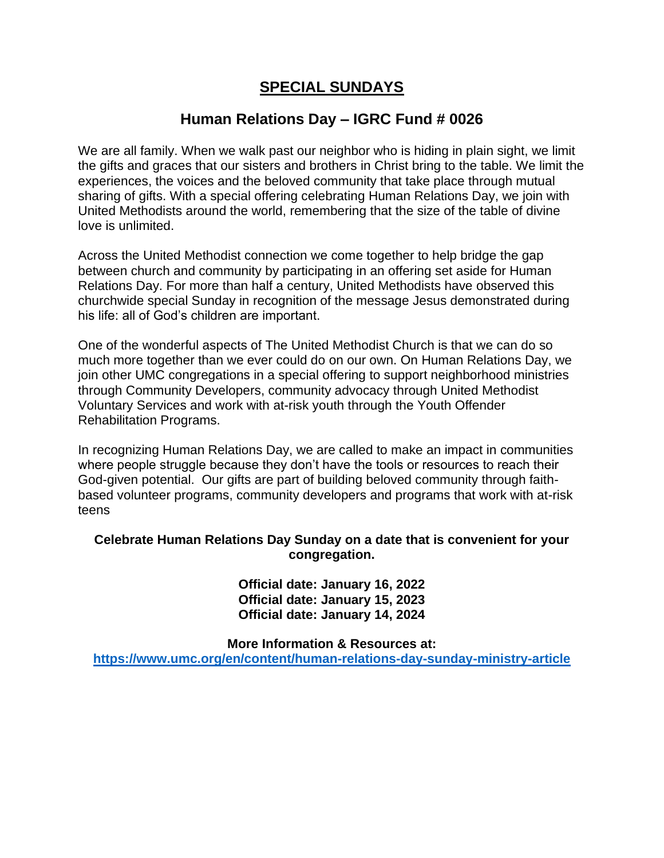## **SPECIAL SUNDAYS**

# **Human Relations Day – IGRC Fund # 0026**

We are all family. When we walk past our neighbor who is hiding in plain sight, we limit the gifts and graces that our sisters and brothers in Christ bring to the table. We limit the experiences, the voices and the beloved community that take place through mutual sharing of gifts. With a special offering celebrating Human Relations Day, we join with United Methodists around the world, remembering that the size of the table of divine love is unlimited.

Across the United Methodist connection we come together to help bridge the gap between church and community by participating in an offering set aside for Human Relations Day. For more than half a century, United Methodists have observed this churchwide special Sunday in recognition of the message Jesus demonstrated during his life: all of God's children are important.

One of the wonderful aspects of The United Methodist Church is that we can do so much more together than we ever could do on our own. On Human Relations Day, we join other UMC congregations in a special offering to support neighborhood ministries through Community Developers, community advocacy through United Methodist Voluntary Services and work with at-risk youth through the Youth Offender Rehabilitation Programs.

In recognizing Human Relations Day, we are called to make an impact in communities where people struggle because they don't have the tools or resources to reach their God-given potential. Our gifts are part of building beloved community through faithbased volunteer programs, community developers and programs that work with at-risk teens

### **Celebrate Human Relations Day Sunday on a date that is convenient for your congregation.**

**Official date: January 16, 2022 Official date: January 15, 2023 Official date: January 14, 2024**

**More Information & Resources at: <https://www.umc.org/en/content/human-relations-day-sunday-ministry-article>**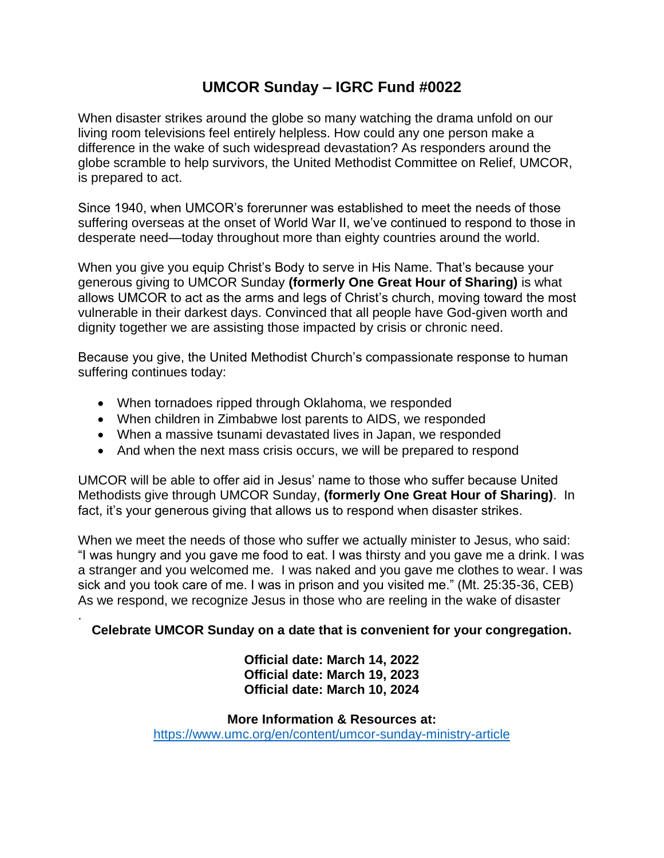# **UMCOR Sunday – IGRC Fund #0022**

When disaster strikes around the globe so many watching the drama unfold on our living room televisions feel entirely helpless. How could any one person make a difference in the wake of such widespread devastation? As responders around the globe scramble to help survivors, the United Methodist Committee on Relief, UMCOR, is prepared to act.

Since 1940, when UMCOR's forerunner was established to meet the needs of those suffering overseas at the onset of World War II, we've continued to respond to those in desperate need—today throughout more than eighty countries around the world.

When you give you equip Christ's Body to serve in His Name. That's because your generous giving to UMCOR Sunday **(formerly One Great Hour of Sharing)** is what allows UMCOR to act as the arms and legs of Christ's church, moving toward the most vulnerable in their darkest days. Convinced that all people have God-given worth and dignity together we are assisting those impacted by crisis or chronic need.

Because you give, the United Methodist Church's compassionate response to human suffering continues today:

• When tornadoes ripped through Oklahoma, we responded

.

- When children in Zimbabwe lost parents to AIDS, we responded
- When a massive tsunami devastated lives in Japan, we responded
- And when the next mass crisis occurs, we will be prepared to respond

UMCOR will be able to offer aid in Jesus' name to those who suffer because United Methodists give through UMCOR Sunday, **(formerly One Great Hour of Sharing)**. In fact, it's your generous giving that allows us to respond when disaster strikes.

When we meet the needs of those who suffer we actually minister to Jesus, who said: "I was hungry and you gave me food to eat. I was thirsty and you gave me a drink. I was a stranger and you welcomed me. I was naked and you gave me clothes to wear. I was sick and you took care of me. I was in prison and you visited me." (Mt. 25:35-36, CEB) As we respond, we recognize Jesus in those who are reeling in the wake of disaster

### **Celebrate UMCOR Sunday on a date that is convenient for your congregation.**

**Official date: March 14, 2022 Official date: March 19, 2023 Official date: March 10, 2024**

**More Information & Resources at:** <https://www.umc.org/en/content/umcor-sunday-ministry-article>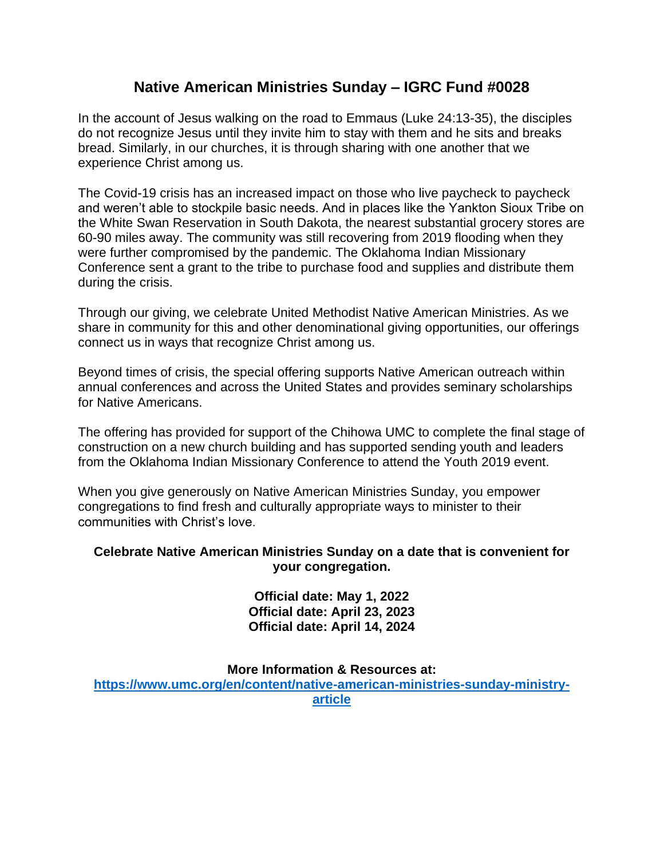## **Native American Ministries Sunday – IGRC Fund #0028**

In the account of Jesus walking on the road to Emmaus (Luke 24:13-35), the disciples do not recognize Jesus until they invite him to stay with them and he sits and breaks bread. Similarly, in our churches, it is through sharing with one another that we experience Christ among us.

The Covid-19 crisis has an increased impact on those who live paycheck to paycheck and weren't able to stockpile basic needs. And in places like the Yankton Sioux Tribe on the White Swan Reservation in South Dakota, the nearest substantial grocery stores are 60-90 miles away. The community was still recovering from 2019 flooding when they were further compromised by the pandemic. The Oklahoma Indian Missionary Conference sent a grant to the tribe to purchase food and supplies and distribute them during the crisis.

Through our giving, we celebrate United Methodist Native American Ministries. As we share in community for this and other denominational giving opportunities, our offerings connect us in ways that recognize Christ among us.

Beyond times of crisis, the special offering supports Native American outreach within annual conferences and across the United States and provides seminary scholarships for Native Americans.

The offering has provided for support of the Chihowa UMC to complete the final stage of construction on a new church building and has supported sending youth and leaders from the Oklahoma Indian Missionary Conference to attend the Youth 2019 event.

When you give generously on Native American Ministries Sunday, you empower congregations to find fresh and culturally appropriate ways to minister to their communities with Christ's love.

### **Celebrate Native American Ministries Sunday on a date that is convenient for your congregation.**

**Official date: May 1, 2022 Official date: April 23, 2023 Official date: April 14, 2024**

**More Information & Resources at:**

**[https://www.umc.org/en/content/native-american-ministries-sunday-ministry](https://www.umc.org/en/content/native-american-ministries-sunday-ministry-article)[article](https://www.umc.org/en/content/native-american-ministries-sunday-ministry-article)**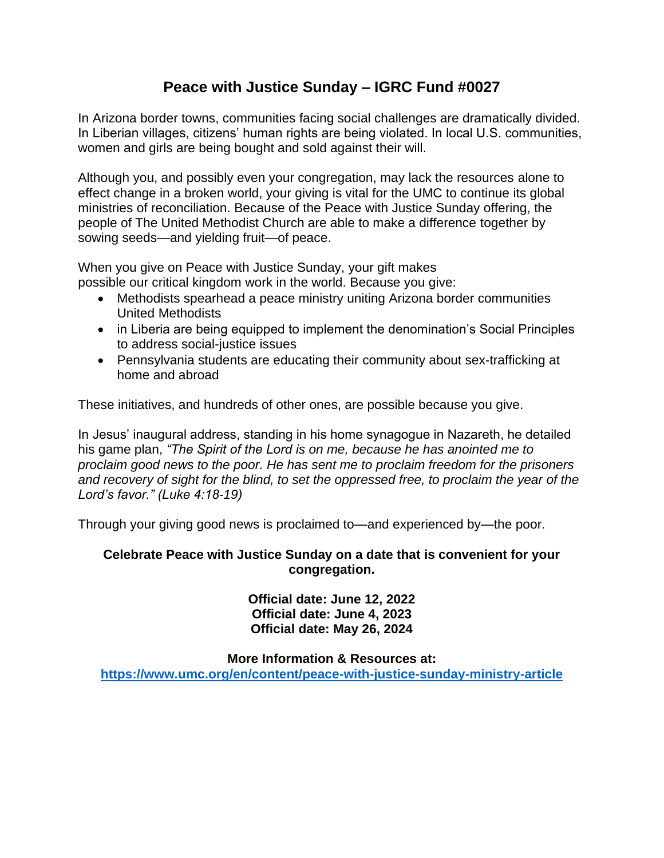# **Peace with Justice Sunday – IGRC Fund #0027**

In Arizona border towns, communities facing social challenges are dramatically divided. In Liberian villages, citizens' human rights are being violated. In local U.S. communities, women and girls are being bought and sold against their will.

Although you, and possibly even your congregation, may lack the resources alone to effect change in a broken world, your giving is vital for the UMC to continue its global ministries of reconciliation. Because of the Peace with Justice Sunday offering, the people of The United Methodist Church are able to make a difference together by sowing seeds—and yielding fruit—of peace.

When you give on Peace with Justice Sunday, your gift makes possible our critical kingdom work in the world. Because you give:

- Methodists spearhead a peace ministry uniting Arizona border communities United Methodists
- in Liberia are being equipped to implement the denomination's Social Principles to address social-justice issues
- Pennsylvania students are educating their community about sex-trafficking at home and abroad

These initiatives, and hundreds of other ones, are possible because you give.

In Jesus' inaugural address, standing in his home synagogue in Nazareth, he detailed his game plan, *"The Spirit of the Lord is on me, because he has anointed me to proclaim good news to the poor. He has sent me to proclaim freedom for the prisoners and recovery of sight for the blind, to set the oppressed free, to proclaim the year of the Lord's favor." (Luke 4:18-19)*

Through your giving good news is proclaimed to—and experienced by—the poor.

### **Celebrate Peace with Justice Sunday on a date that is convenient for your congregation.**

**Official date: June 12, 2022 Official date: June 4, 2023 Official date: May 26, 2024**

### **More Information & Resources at:**

**<https://www.umc.org/en/content/peace-with-justice-sunday-ministry-article>**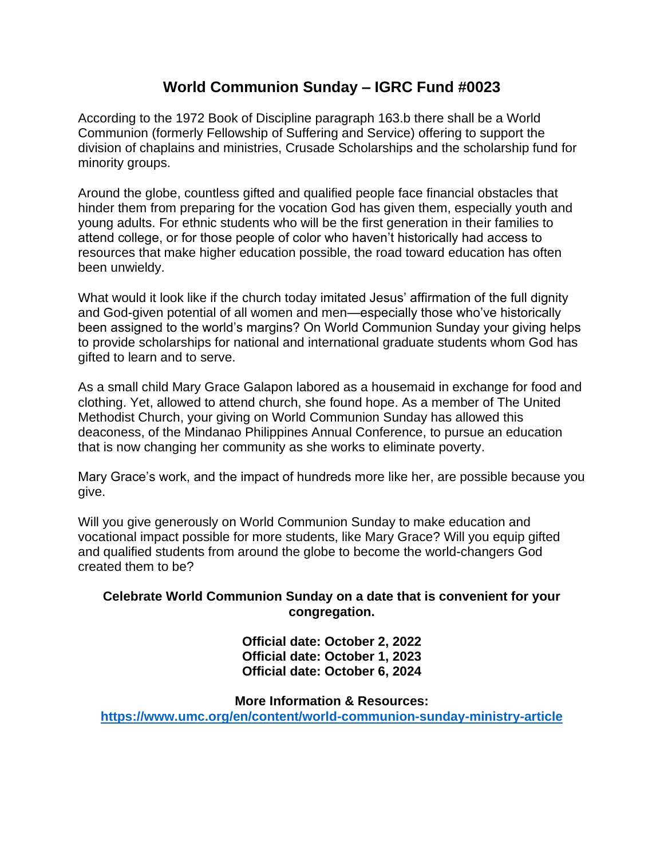## **World Communion Sunday – IGRC Fund #0023**

According to the 1972 Book of Discipline paragraph 163.b there shall be a World Communion (formerly Fellowship of Suffering and Service) offering to support the division of chaplains and ministries, Crusade Scholarships and the scholarship fund for minority groups.

Around the globe, countless gifted and qualified people face financial obstacles that hinder them from preparing for the vocation God has given them, especially youth and young adults. For ethnic students who will be the first generation in their families to attend college, or for those people of color who haven't historically had access to resources that make higher education possible, the road toward education has often been unwieldy.

What would it look like if the church today imitated Jesus' affirmation of the full dignity and God-given potential of all women and men—especially those who've historically been assigned to the world's margins? On World Communion Sunday your giving helps to provide scholarships for national and international graduate students whom God has gifted to learn and to serve.

As a small child Mary Grace Galapon labored as a housemaid in exchange for food and clothing. Yet, allowed to attend church, she found hope. As a member of The United Methodist Church, your giving on World Communion Sunday has allowed this deaconess, of the Mindanao Philippines Annual Conference, to pursue an education that is now changing her community as she works to eliminate poverty.

Mary Grace's work, and the impact of hundreds more like her, are possible because you give.

Will you give generously on World Communion Sunday to make education and vocational impact possible for more students, like Mary Grace? Will you equip gifted and qualified students from around the globe to become the world-changers God created them to be?

### **Celebrate World Communion Sunday on a date that is convenient for your congregation.**

**Official date: October 2, 2022 Official date: October 1, 2023 Official date: October 6, 2024**

**More Information & Resources: <https://www.umc.org/en/content/world-communion-sunday-ministry-article>**